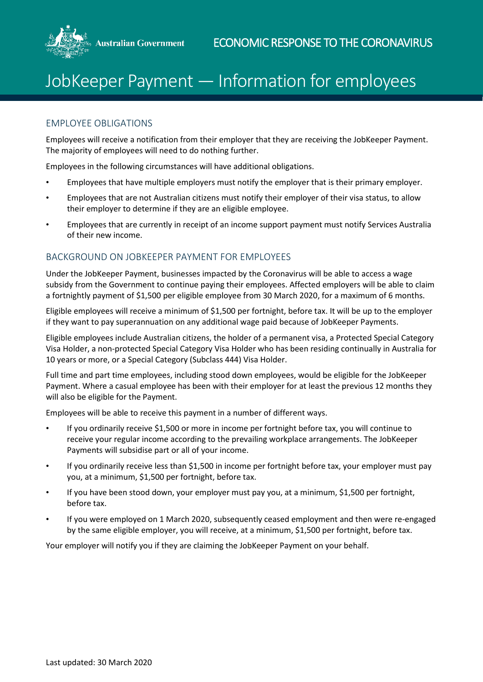

## JobKeeper Payment — Information for employees

## EMPLOYEE OBLIGATIONS

Employees will receive a notification from their employer that they are receiving the JobKeeper Payment. The majority of employees will need to do nothing further.

Employees in the following circumstances will have additional obligations.

- Employees that have multiple employers must notify the employer that is their primary employer.
- Employees that are not Australian citizens must notify their employer of their visa status, to allow their employer to determine if they are an eligible employee.
- Employees that are currently in receipt of an income support payment must notify Services Australia of their new income.

## BACKGROUND ON JOBKEEPER PAYMENT FOR EMPLOYEES

Under the JobKeeper Payment, businesses impacted by the Coronavirus will be able to access a wage subsidy from the Government to continue paying their employees. Affected employers will be able to claim a fortnightly payment of \$1,500 per eligible employee from 30 March 2020, for a maximum of 6 months.

Eligible employees will receive a minimum of \$1,500 per fortnight, before tax. It will be up to the employer if they want to pay superannuation on any additional wage paid because of JobKeeper Payments.

Eligible employees include Australian citizens, the holder of a permanent visa, a Protected Special Category Visa Holder, a non-protected Special Category Visa Holder who has been residing continually in Australia for 10 years or more, or a Special Category (Subclass 444) Visa Holder.

Full time and part time employees, including stood down employees, would be eligible for the JobKeeper Payment. Where a casual employee has been with their employer for at least the previous 12 months they will also be eligible for the Payment.

Employees will be able to receive this payment in a number of different ways.

- If you ordinarily receive \$1,500 or more in income per fortnight before tax, you will continue to receive your regular income according to the prevailing workplace arrangements. The JobKeeper Payments will subsidise part or all of your income.
- If you ordinarily receive less than \$1,500 in income per fortnight before tax, your employer must pay you, at a minimum, \$1,500 per fortnight, before tax.
- If you have been stood down, your employer must pay you, at a minimum, \$1,500 per fortnight, before tax.
- If you were employed on 1 March 2020, subsequently ceased employment and then were re-engaged by the same eligible employer, you will receive, at a minimum, \$1,500 per fortnight, before tax.

Your employer will notify you if they are claiming the JobKeeper Payment on your behalf.